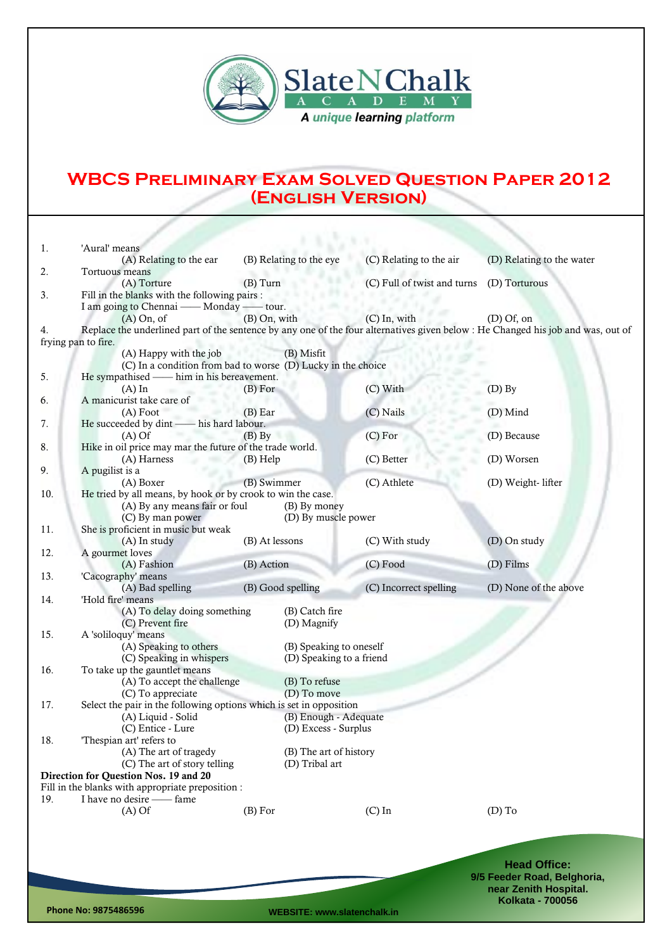

## **WBCS Preliminary Exam Solved Question Paper 2012 (English Version)**

| 1.  | 'Aural' means                                                                                                                    |                |                          |                             |                             |
|-----|----------------------------------------------------------------------------------------------------------------------------------|----------------|--------------------------|-----------------------------|-----------------------------|
|     | (A) Relating to the ear                                                                                                          |                | (B) Relating to the eye  | (C) Relating to the air     | (D) Relating to the water   |
| 2.  | Tortuous means                                                                                                                   |                |                          |                             |                             |
|     | (A) Torture                                                                                                                      | $(B)$ Turn     |                          | (C) Full of twist and turns | (D) Torturous               |
| 3.  | Fill in the blanks with the following pairs :                                                                                    |                |                          |                             |                             |
|     | I am going to Chennai — Monday — tour.                                                                                           |                |                          |                             |                             |
|     | $(A)$ On, of                                                                                                                     | (B) On, with   |                          | $(C)$ In, with              | $(D)$ Of, on                |
| 4.  | Replace the underlined part of the sentence by any one of the four alternatives given below : He Changed his job and was, out of |                |                          |                             |                             |
|     | frying pan to fire.                                                                                                              |                |                          |                             |                             |
|     | (A) Happy with the job                                                                                                           |                | (B) Misfit               |                             |                             |
|     | (C) In a condition from bad to worse (D) Lucky in the choice                                                                     |                |                          |                             |                             |
| 5.  | He sympathised — him in his bereavement.                                                                                         |                |                          |                             |                             |
|     | $(A)$ In                                                                                                                         | (B) For        |                          | (C) With                    | $(D)$ By                    |
| 6.  | A manicurist take care of                                                                                                        |                |                          |                             |                             |
|     | $(A)$ Foot                                                                                                                       | $(B)$ Ear      |                          | (C) Nails                   | (D) Mind                    |
| 7.  | He succeeded by dint - his hard labour.                                                                                          |                |                          |                             |                             |
|     | $(A)$ Of                                                                                                                         | $(B)$ By       |                          | $(C)$ For                   | (D) Because                 |
| 8.  | Hike in oil price may mar the future of the trade world.                                                                         |                |                          |                             |                             |
|     | (A) Harness                                                                                                                      | $(B)$ Help     |                          | (C) Better                  | (D) Worsen                  |
| 9.  | A pugilist is a                                                                                                                  |                |                          |                             |                             |
|     | (A) Boxer<br>He tried by all means, by hook or by crook to win the case.                                                         | (B) Swimmer    |                          | (C) Athlete                 | (D) Weight- lifter          |
| 10. | (A) By any means fair or foul                                                                                                    |                | (B) By money             |                             |                             |
|     | (C) By man power                                                                                                                 |                | (D) By muscle power      |                             |                             |
| 11. | She is proficient in music but weak                                                                                              |                |                          |                             |                             |
|     | (A) In study                                                                                                                     | (B) At lessons |                          | (C) With study              | (D) On study                |
| 12. | A gourmet loves                                                                                                                  |                |                          |                             |                             |
|     | (A) Fashion                                                                                                                      | (B) Action     |                          | (C) Food                    | (D) Films                   |
| 13. | 'Cacography' means                                                                                                               |                |                          |                             |                             |
|     | (A) Bad spelling                                                                                                                 |                | (B) Good spelling        | (C) Incorrect spelling      | (D) None of the above       |
| 14. | 'Hold fire' means                                                                                                                |                |                          |                             |                             |
|     | (A) To delay doing something                                                                                                     |                | (B) Catch fire           |                             |                             |
|     | (C) Prevent fire                                                                                                                 |                | (D) Magnify              |                             |                             |
| 15. | A 'soliloquy' means                                                                                                              |                |                          |                             |                             |
|     | (A) Speaking to others                                                                                                           |                | (B) Speaking to oneself  |                             |                             |
|     | (C) Speaking in whispers                                                                                                         |                | (D) Speaking to a friend |                             |                             |
| 16. | To take up the gauntlet means                                                                                                    |                |                          |                             |                             |
|     | (A) To accept the challenge                                                                                                      |                | (B) To refuse            |                             |                             |
|     | (C) To appreciate                                                                                                                |                | (D) To move              |                             |                             |
| 17. | Select the pair in the following options which is set in opposition                                                              |                |                          |                             |                             |
|     | (A) Liquid - Solid                                                                                                               |                | (B) Enough - Adequate    |                             |                             |
|     | (C) Entice - Lure                                                                                                                |                | (D) Excess - Surplus     |                             |                             |
| 18. | 'Thespian art' refers to                                                                                                         |                |                          |                             |                             |
|     | (A) The art of tragedy                                                                                                           |                | (B) The art of history   |                             |                             |
|     | (C) The art of story telling                                                                                                     |                | (D) Tribal art           |                             |                             |
|     | Direction for Question Nos. 19 and 20                                                                                            |                |                          |                             |                             |
|     | Fill in the blanks with appropriate preposition :                                                                                |                |                          |                             |                             |
| 19. | I have no desire -- fame                                                                                                         |                |                          |                             |                             |
|     | $(A)$ Of                                                                                                                         | (B) For        |                          | $(C)$ In                    | $(D)$ To                    |
|     |                                                                                                                                  |                |                          |                             |                             |
|     |                                                                                                                                  |                |                          |                             |                             |
|     |                                                                                                                                  |                |                          |                             |                             |
|     |                                                                                                                                  |                |                          |                             | <b>Head Office:</b>         |
|     |                                                                                                                                  |                |                          |                             | 9/5 Feeder Road, Belghoria, |
|     |                                                                                                                                  |                |                          |                             | near Zenith Hospital.       |
|     |                                                                                                                                  |                |                          |                             | <b>Kolkata - 700056</b>     |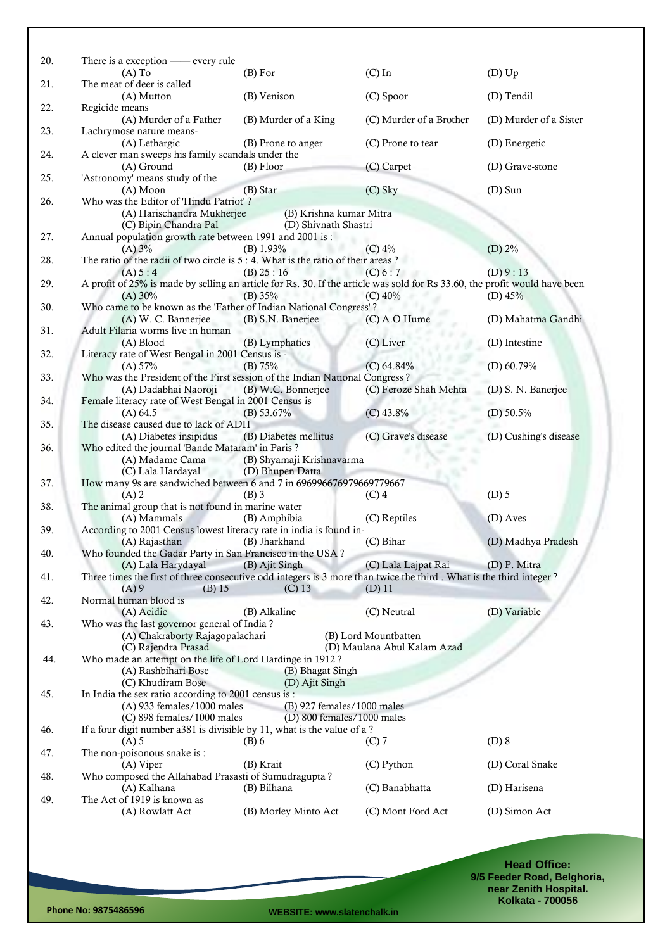| 20. | There is a exception - every rule<br>$(A)$ To                                                                              | (B) For                    | $(C)$ In                    | $(D)$ Up               |
|-----|----------------------------------------------------------------------------------------------------------------------------|----------------------------|-----------------------------|------------------------|
| 21. | The meat of deer is called                                                                                                 |                            |                             |                        |
| 22. | (A) Mutton<br>Regicide means                                                                                               | (B) Venison                | (C) Spoor                   | (D) Tendil             |
| 23. | (A) Murder of a Father<br>Lachrymose nature means-                                                                         | (B) Murder of a King       | (C) Murder of a Brother     | (D) Murder of a Sister |
| 24. | (A) Lethargic<br>A clever man sweeps his family scandals under the                                                         | (B) Prone to anger         | (C) Prone to tear           | (D) Energetic          |
| 25. | (A) Ground<br>'Astronomy' means study of the                                                                               | (B) Floor                  | (C) Carpet                  | (D) Grave-stone        |
|     | $(A)$ Moon<br>Who was the Editor of 'Hindu Patriot'?                                                                       | (B) Star                   | $(C)$ Sky                   | $(D)$ Sun              |
| 26. | (A) Harischandra Mukherjee                                                                                                 | (B) Krishna kumar Mitra    |                             |                        |
|     | (C) Bipin Chandra Pal                                                                                                      | (D) Shivnath Shastri       |                             |                        |
| 27. | Annual population growth rate between 1991 and 2001 is :                                                                   |                            |                             |                        |
|     | (A) 3%                                                                                                                     | $(B)$ 1.93%                | (C) 4%                      | $(D)$ 2%               |
| 28. | The ratio of the radii of two circle is $5:4$ . What is the ratio of their areas?                                          |                            |                             |                        |
|     | (A) 5:4                                                                                                                    | (B) 25 : 16                | (C) 6:7                     | (D) 9:13               |
| 29. | A profit of 25% is made by selling an article for Rs. 30. If the article was sold for Rs 33.60, the profit would have been |                            |                             |                        |
|     | (A) 30%                                                                                                                    | (B) $35%$                  | $(C)$ 40%                   | (D) $45%$              |
| 30. | Who came to be known as the 'Father of Indian National Congress'?                                                          |                            |                             |                        |
|     | (A) W. C. Bannerjee                                                                                                        | (B) S.N. Banerjee          | (C) A.O Hume                | (D) Mahatma Gandhi     |
| 31. | Adult Filaria worms live in human                                                                                          |                            |                             |                        |
|     | (A) Blood                                                                                                                  | (B) Lymphatics             | (C) Liver                   | (D) Intestine          |
| 32. | Literacy rate of West Bengal in 2001 Census is -                                                                           |                            |                             |                        |
|     | (A) 57%                                                                                                                    | (B) 75%                    | (C) 64.84%                  | (D) $60.79%$           |
| 33. | Who was the President of the First session of the Indian National Congress?                                                |                            |                             |                        |
|     | (A) Dadabhai Naoroji                                                                                                       | (B) W.C. Bonnerjee         | (C) Feroze Shah Mehta       | (D) S. N. Banerjee     |
| 34. | Female literacy rate of West Bengal in 2001 Census is                                                                      |                            |                             |                        |
|     | (A) 64.5                                                                                                                   | (B) 53.67%                 | $(C)$ 43.8%                 | (D) $50.5\%$           |
| 35. | The disease caused due to lack of ADH                                                                                      |                            |                             |                        |
|     | (A) Diabetes insipidus                                                                                                     | (B) Diabetes mellitus      | (C) Grave's disease         | (D) Cushing's disease  |
| 36. | Who edited the journal 'Bande Mataram' in Paris?                                                                           |                            |                             |                        |
|     | (A) Madame Cama                                                                                                            | (B) Shyamaji Krishnavarma  |                             |                        |
|     | (C) Lala Hardayal                                                                                                          | (D) Bhupen Datta           |                             |                        |
| 37. | How many 9s are sandwiched between 6 and 7 in 696996676979669779667                                                        |                            |                             |                        |
|     | $(A)$ 2                                                                                                                    | $(B)$ 3                    | $(C)$ 4                     | $(D)$ 5                |
| 38. | The animal group that is not found in marine water                                                                         |                            |                             |                        |
|     | (A) Mammals                                                                                                                | (B) Amphibia               | (C) Reptiles                | (D) Aves               |
| 39. | According to 2001 Census lowest literacy rate in india is found in-                                                        |                            |                             |                        |
|     | (A) Rajasthan                                                                                                              | (B) Jharkhand              | (C) Bihar                   | (D) Madhya Pradesh     |
| 40. | Who founded the Gadar Party in San Francisco in the USA?                                                                   |                            |                             |                        |
|     | (A) Lala Harydayal                                                                                                         | (B) Ajit Singh             | (C) Lala Lajpat Rai         | (D) P. Mitra           |
| 41. | Three times the first of three consecutive odd integers is 3 more than twice the third. What is the third integer?         |                            |                             |                        |
|     | $(A)$ 9<br>$(B)$ 15                                                                                                        | $(C)$ 13                   | $(D)$ 11                    |                        |
| 42. | Normal human blood is                                                                                                      |                            |                             |                        |
|     | (A) Acidic                                                                                                                 | (B) Alkaline               | (C) Neutral                 | (D) Variable           |
| 43. | Who was the last governor general of India?                                                                                |                            |                             |                        |
|     | (A) Chakraborty Rajagopalachari                                                                                            |                            | (B) Lord Mountbatten        |                        |
|     | (C) Rajendra Prasad                                                                                                        |                            | (D) Maulana Abul Kalam Azad |                        |
| 44. | Who made an attempt on the life of Lord Hardinge in 1912?                                                                  |                            |                             |                        |
|     | (A) Rashbihari Bose                                                                                                        | (B) Bhagat Singh           |                             |                        |
|     | (C) Khudiram Bose                                                                                                          | (D) Ajit Singh             |                             |                        |
| 45. | In India the sex ratio according to 2001 census is :                                                                       |                            |                             |                        |
|     | $(A)$ 933 females/1000 males                                                                                               | (B) 927 females/1000 males |                             |                        |
|     | (C) 898 females/1000 males                                                                                                 | (D) 800 females/1000 males |                             |                        |
| 46. | If a four digit number a381 is divisible by 11, what is the value of a?                                                    |                            |                             |                        |
|     | $(A)$ 5                                                                                                                    | $(B)$ 6                    | $(C)$ 7                     | $(D)$ 8                |
| 47. | The non-poisonous snake is :                                                                                               |                            |                             |                        |
|     | (A) Viper                                                                                                                  | (B) Krait                  | (C) Python                  | (D) Coral Snake        |
| 48. | Who composed the Allahabad Prasasti of Sumudragupta?                                                                       |                            |                             |                        |
|     | (A) Kalhana                                                                                                                | (B) Bilhana                | (C) Banabhatta              | (D) Harisena           |
| 49. | The Act of 1919 is known as                                                                                                |                            |                             |                        |
|     | (A) Rowlatt Act                                                                                                            | (B) Morley Minto Act       | (C) Mont Ford Act           | (D) Simon Act          |
|     |                                                                                                                            |                            |                             |                        |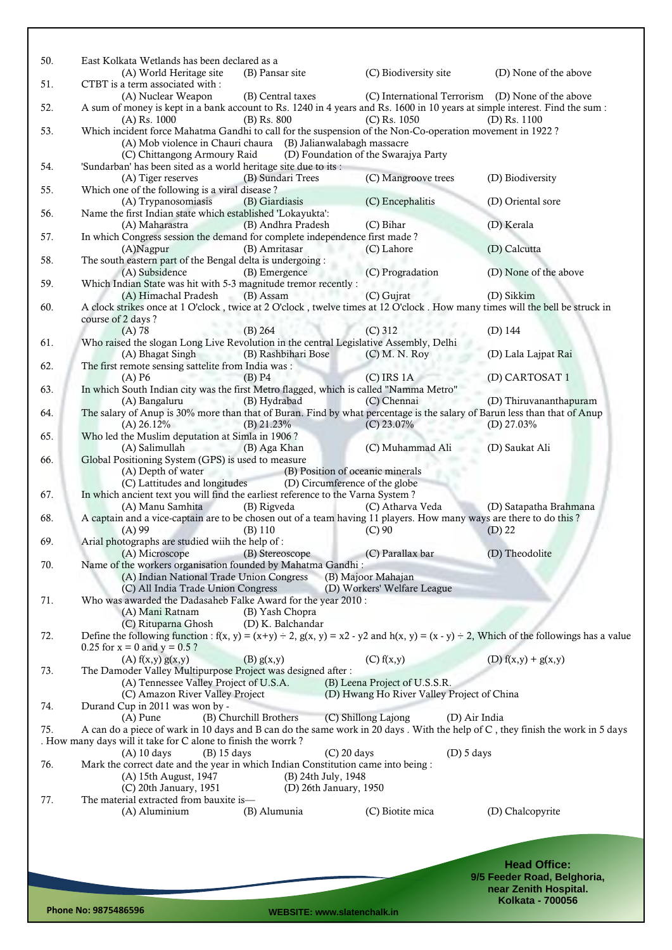| 50. | East Kolkata Wetlands has been declared as a                                                                                                                              |                        |                                                   |                             |
|-----|---------------------------------------------------------------------------------------------------------------------------------------------------------------------------|------------------------|---------------------------------------------------|-----------------------------|
|     | (A) World Heritage site                                                                                                                                                   | (B) Pansar site        | (C) Biodiversity site                             | (D) None of the above       |
| 51. | CTBT is a term associated with:<br>(A) Nuclear Weapon                                                                                                                     | (B) Central taxes      | (C) International Terrorism (D) None of the above |                             |
| 52. | A sum of money is kept in a bank account to Rs. 1240 in 4 years and Rs. 1600 in 10 years at simple interest. Find the sum:<br>$(A)$ Rs. 1000                              | (B) Rs. 800            | $(C)$ Rs. 1050                                    | $(D)$ Rs. 1100              |
| 53. | Which incident force Mahatma Gandhi to call for the suspension of the Non-Co-operation movement in 1922?<br>(A) Mob violence in Chauri chaura (B) Jalianwalabagh massacre |                        |                                                   |                             |
|     | (C) Chittangong Armoury Raid                                                                                                                                              |                        | (D) Foundation of the Swarajya Party              |                             |
| 54. | 'Sundarban' has been sited as a world heritage site due to its :                                                                                                          |                        |                                                   |                             |
|     | (A) Tiger reserves                                                                                                                                                        | (B) Sundari Trees      | (C) Mangroove trees                               | (D) Biodiversity            |
| 55. | Which one of the following is a viral disease?<br>(A) Trypanosomiasis                                                                                                     | (B) Giardiasis         | (C) Encephalitis                                  | (D) Oriental sore           |
| 56. | Name the first Indian state which established 'Lokayukta':                                                                                                                |                        |                                                   |                             |
|     | (A) Maharastra                                                                                                                                                            | (B) Andhra Pradesh     | (C) Bihar                                         | (D) Kerala                  |
| 57. | In which Congress session the demand for complete independence first made?                                                                                                |                        |                                                   |                             |
|     | (A)Nagpur                                                                                                                                                                 | (B) Amritasar          | (C) Lahore                                        | (D) Calcutta                |
| 58. | The south eastern part of the Bengal delta is undergoing :                                                                                                                |                        |                                                   |                             |
|     | (A) Subsidence                                                                                                                                                            | (B) Emergence          | (C) Progradation                                  | (D) None of the above       |
| 59. | Which Indian State was hit with 5-3 magnitude tremor recently :                                                                                                           |                        |                                                   |                             |
|     | (A) Himachal Pradesh                                                                                                                                                      | (B) Assam              | (C) Gujrat                                        | (D) Sikkim                  |
| 60. | A clock strikes once at 1 O'clock, twice at 2 O'clock, twelve times at 12 O'clock. How many times will the bell be struck in<br>course of 2 days?                         |                        |                                                   |                             |
|     | $(A)$ 78                                                                                                                                                                  | $(B)$ 264              | $(C)$ 312                                         | $(D)$ 144                   |
| 61. | Who raised the slogan Long Live Revolution in the central Legislative Assembly, Delhi                                                                                     |                        |                                                   |                             |
|     | (A) Bhagat Singh                                                                                                                                                          | (B) Rashbihari Bose    | $(C)$ M. N. Roy                                   | (D) Lala Lajpat Rai         |
| 62. | The first remote sensing sattelite from India was:                                                                                                                        |                        |                                                   |                             |
|     | $(A)$ P <sub>6</sub>                                                                                                                                                      | $(B)$ P4               | $(C)$ IRS 1A                                      | (D) CARTOSAT 1              |
| 63. | In which South Indian city was the first Metro flagged, which is called "Namma Metro"                                                                                     |                        |                                                   |                             |
|     | (A) Bangaluru                                                                                                                                                             | (B) Hydrabad           | (C) Chennai                                       | (D) Thiruvananthapuram      |
| 64. | The salary of Anup is 30% more than that of Buran. Find by what percentage is the salary of Barun less than that of Anup                                                  |                        |                                                   |                             |
| 65. | $(A)$ 26.12%<br>Who led the Muslim deputation at Simla in 1906?                                                                                                           | $(B)$ 21.23%           | $(C)$ 23.07%                                      | (D) $27.03\%$               |
|     | (A) Salimullah                                                                                                                                                            | (B) Aga Khan           | (C) Muhammad Ali                                  | (D) Saukat Ali              |
| 66. | Global Positioning System (GPS) is used to measure                                                                                                                        |                        |                                                   |                             |
|     | (A) Depth of water                                                                                                                                                        |                        | (B) Position of oceanic minerals                  |                             |
|     | (C) Lattitudes and longitudes                                                                                                                                             |                        | (D) Circumference of the globe                    |                             |
| 67. | In which ancient text you will find the earliest reference to the Varna System?                                                                                           |                        |                                                   |                             |
|     | (A) Manu Samhita                                                                                                                                                          | (B) Rigveda            | (C) Atharva Veda                                  | (D) Satapatha Brahmana      |
| 68. | A captain and a vice-captain are to be chosen out of a team having 11 players. How many ways are there to do this?                                                        |                        |                                                   |                             |
| 69. | $(A)$ 99<br>Arial photographs are studied wiih the help of:                                                                                                               | (B) 110                | $(C)$ 90                                          | $(D)$ 22                    |
|     | (A) Microscope                                                                                                                                                            | (B) Stereoscope        | (C) Parallax bar                                  | (D) Theodolite              |
| 70. | Name of the workers organisation founded by Mahatma Gandhi:                                                                                                               |                        |                                                   |                             |
|     | (A) Indian National Trade Union Congress                                                                                                                                  |                        | (B) Majoor Mahajan                                |                             |
|     | (C) All India Trade Union Congress                                                                                                                                        |                        | (D) Workers' Welfare League                       |                             |
| 71. | Who was awarded the Dadasaheb Falke Award for the year 2010:                                                                                                              |                        |                                                   |                             |
|     | (A) Mani Ratnam                                                                                                                                                           | (B) Yash Chopra        |                                                   |                             |
|     | (C) Rituparna Ghosh                                                                                                                                                       | (D) K. Balchandar      |                                                   |                             |
| 72. | Define the following function : $f(x, y) = (x+y) \div 2$ , $g(x, y) = x^2 - y^2$ and $h(x, y) = (x - y) \div 2$ , Which of the followings has a value                     |                        |                                                   |                             |
|     | $0.25$ for $x = 0$ and $y = 0.5$ ?<br>(A) f(x,y) g(x,y)                                                                                                                   | (B) g(x,y)             | (C) f(x,y)                                        | (D) $f(x,y) + g(x,y)$       |
| 73. | The Damoder Valley Multipurpose Project was designed after :                                                                                                              |                        |                                                   |                             |
|     | (A) Tennessee Valley Project of U.S.A.                                                                                                                                    |                        | (B) Leena Project of U.S.S.R.                     |                             |
|     | (C) Amazon River Valley Project                                                                                                                                           |                        | (D) Hwang Ho River Valley Project of China        |                             |
| 74. | Durand Cup in 2011 was won by -                                                                                                                                           |                        |                                                   |                             |
|     | $(A)$ Pune                                                                                                                                                                | (B) Churchill Brothers | (C) Shillong Lajong<br>(D) Air India              |                             |
| 75. | A can do a piece of wark in 10 days and B can do the same work in 20 days. With the help of C, they finish the work in 5 days                                             |                        |                                                   |                             |
|     | . How many days will it take for C alone to finish the worrk?                                                                                                             |                        |                                                   |                             |
|     | $(A)$ 10 days<br>$(B)$ 15 days                                                                                                                                            |                        | $(C)$ 20 days<br>$(D)$ 5 days                     |                             |
| 76. | Mark the correct date and the year in which Indian Constitution came into being :<br>(A) 15th August, 1947                                                                | (B) 24th July, 1948    |                                                   |                             |
|     | (C) 20th January, 1951                                                                                                                                                    | (D) 26th January, 1950 |                                                   |                             |
| 77. | The material extracted from bauxite is-                                                                                                                                   |                        |                                                   |                             |
|     | (A) Aluminium                                                                                                                                                             | (B) Alumunia           | (C) Biotite mica                                  | (D) Chalcopyrite            |
|     |                                                                                                                                                                           |                        |                                                   |                             |
|     |                                                                                                                                                                           |                        |                                                   |                             |
|     |                                                                                                                                                                           |                        |                                                   |                             |
|     |                                                                                                                                                                           |                        |                                                   | <b>Head Office:</b>         |
|     |                                                                                                                                                                           |                        |                                                   | 9/5 Feeder Road, Belghoria, |

**Phone No: 9875486596 WEBSITE: www.slatenchalk.in**

**near Zenith Hospital. Kolkata - 700056**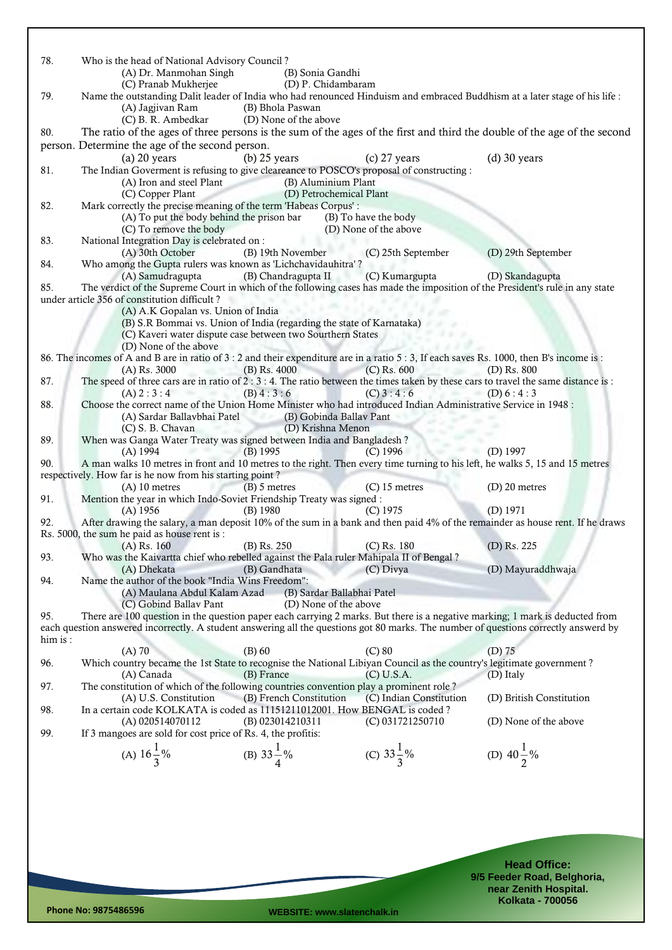| 78.     | Who is the head of National Advisory Council?<br>(A) Dr. Manmohan Singh                                                                                     | (B) Sonia Gandhi                                                     |                         |                          |
|---------|-------------------------------------------------------------------------------------------------------------------------------------------------------------|----------------------------------------------------------------------|-------------------------|--------------------------|
|         | (C) Pranab Mukherjee                                                                                                                                        | (D) P. Chidambaram                                                   |                         |                          |
| 79.     | Name the outstanding Dalit leader of India who had renounced Hinduism and embraced Buddhism at a later stage of his life :                                  |                                                                      |                         |                          |
|         | (A) Jagjivan Ram                                                                                                                                            | (B) Bhola Paswan                                                     |                         |                          |
|         | (C) B. R. Ambedkar                                                                                                                                          | (D) None of the above                                                |                         |                          |
| 80.     | The ratio of the ages of three persons is the sum of the ages of the first and third the double of the age of the second                                    |                                                                      |                         |                          |
|         | person. Determine the age of the second person.                                                                                                             |                                                                      |                         |                          |
|         | $(a)$ 20 years                                                                                                                                              | $(b)$ 25 years                                                       | $(c)$ 27 years          | $(d)$ 30 years           |
| 81.     | The Indian Goverment is refusing to give cleareance to POSCO's proposal of constructing :                                                                   |                                                                      |                         |                          |
|         | (A) Iron and steel Plant                                                                                                                                    | (B) Aluminium Plant                                                  |                         |                          |
|         | (C) Copper Plant                                                                                                                                            | (D) Petrochemical Plant                                              |                         |                          |
| 82.     | Mark correctly the precise meaning of the term 'Habeas Corpus':                                                                                             |                                                                      |                         |                          |
|         | (A) To put the body behind the prison bar                                                                                                                   |                                                                      | (B) To have the body    |                          |
|         | (C) To remove the body                                                                                                                                      |                                                                      | (D) None of the above   |                          |
| 83.     | National Integration Day is celebrated on :                                                                                                                 |                                                                      |                         |                          |
|         | (A) 30th October                                                                                                                                            | (B) 19th November                                                    | (C) 25th September      | (D) 29th September       |
| 84.     | Who among the Gupta rulers was known as 'Lichchavidauhitra'?                                                                                                |                                                                      |                         |                          |
|         | (A) Samudragupta                                                                                                                                            | (B) Chandragupta II                                                  | (C) Kumargupta          | (D) Skandagupta          |
| 85.     | The verdict of the Supreme Court in which of the following cases has made the imposition of the President's rule in any state                               |                                                                      |                         |                          |
|         | under article 356 of constitution difficult?                                                                                                                |                                                                      |                         |                          |
|         | (A) A.K Gopalan vs. Union of India                                                                                                                          |                                                                      |                         |                          |
|         |                                                                                                                                                             | (B) S.R Bommai vs. Union of India (regarding the state of Karnataka) |                         |                          |
|         |                                                                                                                                                             | (C) Kaveri water dispute case between two Sourthern States           |                         |                          |
|         | (D) None of the above                                                                                                                                       |                                                                      |                         |                          |
|         | 86. The incomes of A and B are in ratio of 3 : 2 and their expenditure are in a ratio 5 : 3, If each saves Rs. 1000, then B's income is :<br>$(A)$ Rs. 3000 | $(B)$ Rs. 4000                                                       | $(C)$ Rs. 600           | $(D)$ Rs. $800$          |
| 87.     | The speed of three cars are in ratio of $2:3:4$ . The ratio between the times taken by these cars to travel the same distance is:                           |                                                                      |                         |                          |
|         | ---<br>(A) 2 : 3 : 4                                                                                                                                        | (B) 4:3:6                                                            | (C) 3:4:6               | (D) $6:4:3$              |
| 88.     | Choose the correct name of the Union Home Minister who had introduced Indian Administrative Service in 1948 :                                               |                                                                      |                         |                          |
|         | (A) Sardar Ballavbhai Patel                                                                                                                                 | (B) Gobinda Ballav Pant                                              |                         |                          |
|         | (C) S. B. Chavan                                                                                                                                            | (D) Krishna Menon                                                    |                         |                          |
| 89.     | When was Ganga Water Treaty was signed between India and Bangladesh?                                                                                        |                                                                      |                         |                          |
|         | $(A)$ 1994                                                                                                                                                  | $(B)$ 1995                                                           | $(C)$ 1996              | $(D)$ 1997               |
| 90.     | A man walks 10 metres in front and 10 metres to the right. Then every time turning to his left, he walks 5, 15 and 15 metres                                |                                                                      |                         |                          |
|         | respectively. How far is he now from his starting point?                                                                                                    |                                                                      |                         |                          |
|         | $(A)$ 10 metres                                                                                                                                             | $(B)$ 5 metres                                                       | $(C)$ 15 metres         | $(D)$ 20 metres          |
| 91.     | Mention the year in which Indo-Soviet Friendship Treaty was signed :                                                                                        |                                                                      |                         |                          |
| 92.     | $(A)$ 1956<br>After drawing the salary, a man deposit 10% of the sum in a bank and then paid 4% of the remainder as house rent. If he draws                 | $(B)$ 1980                                                           | $(C)$ 1975              | $(D)$ 1971               |
|         | Rs. 5000, the sum he paid as house rent is :                                                                                                                |                                                                      |                         |                          |
|         | $(A)$ Rs. 160                                                                                                                                               | (B) Rs. 250                                                          | $(C)$ Rs. 180           | (D) Rs. 225              |
| 93.     | Who was the Kaivartta chief who rebelled against the Pala ruler Mahipala II of Bengal?                                                                      |                                                                      |                         |                          |
|         | (A) Dhekata                                                                                                                                                 | (B) Gandhata                                                         | (C) Divya               | (D) Mayuraddhwaja        |
| 94.     | Name the author of the book "India Wins Freedom":                                                                                                           |                                                                      |                         |                          |
|         | (A) Maulana Abdul Kalam Azad                                                                                                                                | (B) Sardar Ballabhai Patel                                           |                         |                          |
|         | (C) Gobind Ballav Pant                                                                                                                                      | (D) None of the above                                                |                         |                          |
| 95.     | There are 100 question in the question paper each carrying 2 marks. But there is a negative marking; 1 mark is deducted from                                |                                                                      |                         |                          |
|         | each question answered incorrectly. A student answering all the questions got 80 marks. The number of questions correctly answerd by                        |                                                                      |                         |                          |
| him is: |                                                                                                                                                             |                                                                      |                         |                          |
|         | $(A)$ 70                                                                                                                                                    | $(B)$ 60                                                             | $(C)$ 80                | $(D)$ 75                 |
| 96.     | Which country became the 1st State to recognise the National Libiyan Council as the country's legitimate government?                                        |                                                                      |                         |                          |
|         | (A) Canada                                                                                                                                                  | (B) France                                                           | (C) U.S.A.              | (D) Italy                |
| 97.     | The constitution of which of the following countries convention play a prominent role?                                                                      |                                                                      |                         |                          |
|         | (A) U.S. Constitution                                                                                                                                       | (B) French Constitution                                              | (C) Indian Constitution | (D) British Constitution |
| 98.     | In a certain code KOLKATA is coded as 11151211012001. How BENGAL is coded?                                                                                  |                                                                      |                         |                          |
|         | (A) 020514070112                                                                                                                                            | (B) 023014210311                                                     | (C) 031721250710        | (D) None of the above    |
| 99.     | If 3 mangoes are sold for cost price of Rs. 4, the profitis:                                                                                                |                                                                      |                         |                          |
|         |                                                                                                                                                             |                                                                      |                         |                          |
|         | (A) $16\frac{1}{3}\%$                                                                                                                                       | (B) $33\frac{1}{4}\%$                                                | (C) $33\frac{1}{3}\%$   | (D) $40\frac{1}{2}\%$    |
|         |                                                                                                                                                             |                                                                      |                         |                          |
|         |                                                                                                                                                             |                                                                      |                         |                          |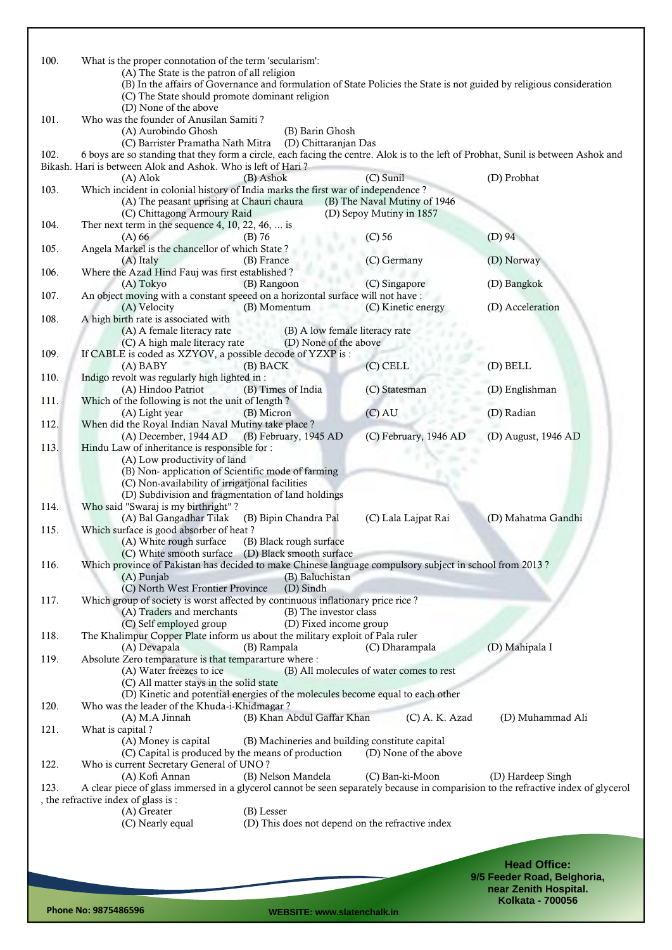| 100. | What is the proper connotation of the term 'secularism':                                                                                                                                        |                                                  |                             |
|------|-------------------------------------------------------------------------------------------------------------------------------------------------------------------------------------------------|--------------------------------------------------|-----------------------------|
|      | (A) The State is the patron of all religion<br>(B) In the affairs of Governance and formulation of State Policies the State is not guided by religious consideration                            |                                                  |                             |
|      | (C) The State should promote dominant religion                                                                                                                                                  |                                                  |                             |
|      | (D) None of the above                                                                                                                                                                           |                                                  |                             |
| 101. | Who was the founder of Anusilan Samiti?                                                                                                                                                         |                                                  |                             |
|      | (A) Aurobindo Ghosh<br>(B) Barin Ghosh                                                                                                                                                          |                                                  |                             |
| 102. | (D) Chittaranjan Das<br>(C) Barrister Pramatha Nath Mitra<br>6 boys are so standing that they form a circle, each facing the centre. Alok is to the left of Probhat, Sunil is between Ashok and |                                                  |                             |
|      | Bikash. Hari is between Alok and Ashok. Who is left of Hari?                                                                                                                                    |                                                  |                             |
|      | $(A)$ Alok<br>(B) Ashok                                                                                                                                                                         | (C) Sunil                                        | (D) Probhat                 |
| 103. | Which incident in colonial history of India marks the first war of independence?                                                                                                                |                                                  |                             |
|      | (A) The peasant uprising at Chauri chaura                                                                                                                                                       | (B) The Naval Mutiny of 1946                     |                             |
|      | (C) Chittagong Armoury Raid                                                                                                                                                                     | (D) Sepoy Mutiny in 1857                         |                             |
| 104. | Ther next term in the sequence 4, 10, 22, 46,  is<br>$(A)$ 66<br>$(B)$ 76                                                                                                                       |                                                  | $(D)$ 94                    |
| 105. | Angela Markel is the chancellor of which State?                                                                                                                                                 | $(C)$ 56                                         |                             |
|      | (A) Italy<br>(B) France                                                                                                                                                                         | (C) Germany                                      | (D) Norway                  |
| 106. | Where the Azad Hind Fauj was first established?                                                                                                                                                 |                                                  |                             |
|      | (A) Tokyo<br>(B) Rangoon                                                                                                                                                                        | (C) Singapore                                    | (D) Bangkok                 |
| 107. | An object moving with a constant speeed on a horizontal surface will not have :                                                                                                                 |                                                  |                             |
| 108. | (B) Momentum<br>(A) Velocity<br>A high birth rate is associated with                                                                                                                            | (C) Kinetic energy                               | (D) Acceleration            |
|      | (A) A female literacy rate                                                                                                                                                                      | (B) A low female literacy rate                   |                             |
|      | (C) A high male literacy rate                                                                                                                                                                   | (D) None of the above                            |                             |
| 109. | If CABLE is coded as XZYOV, a possible decode of YZXP is :                                                                                                                                      |                                                  |                             |
|      | (A) BABY<br>(B) BACK                                                                                                                                                                            | $(C)$ CELL                                       | (D) BELL                    |
| 110. | Indigo revolt was regularly high lighted in :<br>(A) Hindoo Patriot<br>(B) Times of India                                                                                                       | (C) Statesman                                    | (D) Englishman              |
| 111. | Which of the following is not the unit of length?                                                                                                                                               |                                                  |                             |
|      | (A) Light year<br>(B) Micron                                                                                                                                                                    | $(C)$ AU                                         | (D) Radian                  |
| 112. | When did the Royal Indian Naval Mutiny take place ?                                                                                                                                             |                                                  |                             |
|      | (A) December, 1944 AD<br>(B) February, 1945 AD                                                                                                                                                  | (C) February, 1946 AD                            | (D) August, 1946 AD         |
| 113. | Hindu Law of inheritance is responsible for :                                                                                                                                                   |                                                  |                             |
|      | (A) Low productivity of land<br>(B) Non-application of Scientific mode of farming                                                                                                               |                                                  |                             |
|      | (C) Non-availability of irrigational facilities                                                                                                                                                 |                                                  |                             |
|      | (D) Subdivision and fragmentation of land holdings                                                                                                                                              |                                                  |                             |
| 114. | Who said "Swaraj is my birthright"?                                                                                                                                                             |                                                  |                             |
|      | (A) Bal Gangadhar Tilak<br>(B) Bipin Chandra Pal                                                                                                                                                | (C) Lala Lajpat Rai                              | (D) Mahatma Gandhi          |
| 115. | Which surface is good absorber of heat?                                                                                                                                                         |                                                  |                             |
|      | (A) White rough surface<br>(B) Black rough surface<br>(C) White smooth surface<br>(D) Black smooth surface                                                                                      |                                                  |                             |
| 116. | Which province of Pakistan has decided to make Chinese language compulsory subject in school from 2013?                                                                                         |                                                  |                             |
|      | (B) Baluchistan<br>(A) Punjab                                                                                                                                                                   |                                                  |                             |
|      | (C) North West Frontier Province<br>(D) Sindh                                                                                                                                                   |                                                  |                             |
| 117. | Which group of society is worst affected by continuous inflationary price rice?                                                                                                                 |                                                  |                             |
|      | (A) Traders and merchants<br>(C) Self employed group                                                                                                                                            | (B) The investor class                           |                             |
| 118. | The Khalimpur Copper Plate inform us about the military exploit of Pala ruler                                                                                                                   | (D) Fixed income group                           |                             |
|      | (A) Devapala<br>(B) Rampala                                                                                                                                                                     | (C) Dharampala                                   | (D) Mahipala I              |
| 119. | Absolute Zero temparature is that tempararture where :                                                                                                                                          |                                                  |                             |
|      | (A) Water freezes to ice                                                                                                                                                                        | (B) All molecules of water comes to rest         |                             |
|      | (C) All matter stays in the solid state                                                                                                                                                         |                                                  |                             |
| 120. | (D) Kinetic and potential energies of the molecules become equal to each other<br>Who was the leader of the Khuda-i-Khidmagar?                                                                  |                                                  |                             |
|      | (A) M.A Jinnah<br>(B) Khan Abdul Gaffar Khan                                                                                                                                                    | $(C)$ A. K. Azad                                 | (D) Muhammad Ali            |
| 121. | What is capital?                                                                                                                                                                                |                                                  |                             |
|      | (A) Money is capital                                                                                                                                                                            | (B) Machineries and building constitute capital  |                             |
|      | (C) Capital is produced by the means of production                                                                                                                                              | (D) None of the above                            |                             |
| 122. | Who is current Secretary General of UNO?                                                                                                                                                        |                                                  |                             |
| 123. | (B) Nelson Mandela<br>(A) Kofi Annan<br>A clear piece of glass immersed in a glycerol cannot be seen separately because in comparision to the refractive index of glycerol                      | (C) Ban-ki-Moon                                  | (D) Hardeep Singh           |
|      | , the refractive index of glass is :                                                                                                                                                            |                                                  |                             |
|      | (A) Greater<br>(B) Lesser                                                                                                                                                                       |                                                  |                             |
|      | (C) Nearly equal                                                                                                                                                                                | (D) This does not depend on the refractive index |                             |
|      |                                                                                                                                                                                                 |                                                  |                             |
|      |                                                                                                                                                                                                 |                                                  |                             |
|      |                                                                                                                                                                                                 |                                                  | <b>Head Office:</b>         |
|      |                                                                                                                                                                                                 |                                                  | 9/5 Feeder Road, Belghoria, |
|      |                                                                                                                                                                                                 |                                                  | near Zenith Hospital.       |
|      |                                                                                                                                                                                                 |                                                  | <b>Kolkata - 700056</b>     |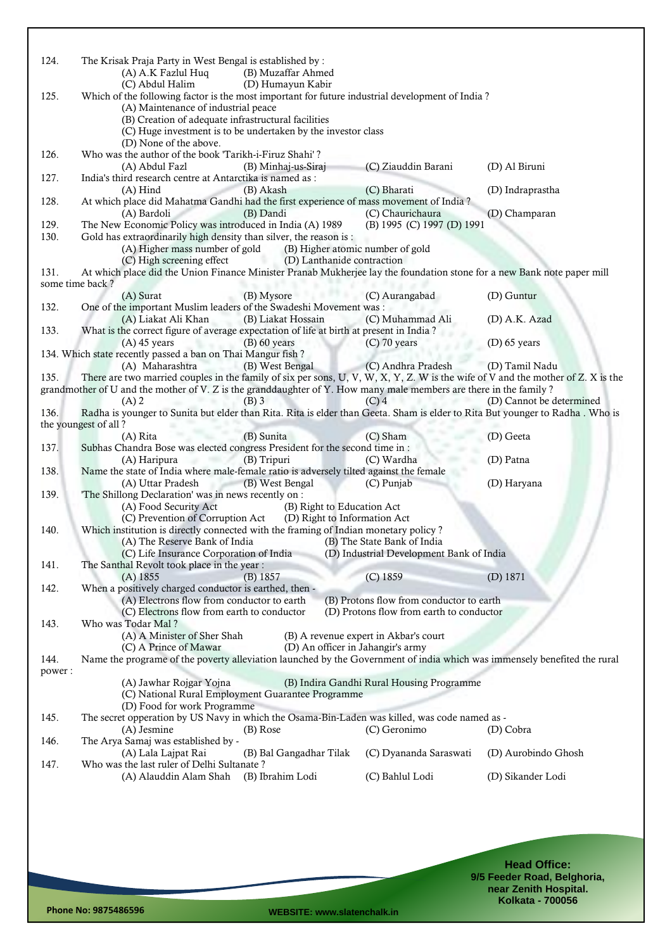| 124.            | The Krisak Praja Party in West Bengal is established by :<br>(A) A.K Fazlul Huq                                                         | (B) Muzaffar Ahmed                                            |                                                                                  |                          |
|-----------------|-----------------------------------------------------------------------------------------------------------------------------------------|---------------------------------------------------------------|----------------------------------------------------------------------------------|--------------------------|
| 125.            | (C) Abdul Halim<br>Which of the following factor is the most important for future industrial development of India?                      | (D) Humayun Kabir                                             |                                                                                  |                          |
|                 | (A) Maintenance of industrial peace<br>(B) Creation of adequate infrastructural facilities                                              |                                                               |                                                                                  |                          |
|                 | (D) None of the above.                                                                                                                  | (C) Huge investment is to be undertaken by the investor class |                                                                                  |                          |
| 126.            | Who was the author of the book 'Tarikh-i-Firuz Shahi'?                                                                                  |                                                               |                                                                                  |                          |
|                 | (A) Abdul Fazl                                                                                                                          | (B) Minhaj-us-Siraj                                           | (C) Ziauddin Barani                                                              | (D) Al Biruni            |
| 127.            | India's third research centre at Antarctika is named as :<br>$(A)$ Hind                                                                 | (B) Akash                                                     | (C) Bharati                                                                      | (D) Indraprastha         |
| 128.            | At which place did Mahatma Gandhi had the first experience of mass movement of India?                                                   |                                                               |                                                                                  |                          |
|                 | (A) Bardoli                                                                                                                             | (B) Dandi                                                     | (C) Chaurichaura                                                                 | (D) Champaran            |
| 129.<br>130.    | The New Economic Policy was introduced in India (A) 1989<br>Gold has extraordinarily high density than silver, the reason is :          |                                                               | (B) 1995 (C) 1997 (D) 1991                                                       |                          |
|                 | (A) Higher mass number of gold                                                                                                          | (B) Higher atomic number of gold                              |                                                                                  |                          |
|                 | (C) High screening effect                                                                                                               | (D) Lanthanide contraction                                    |                                                                                  |                          |
| 131.            | At which place did the Union Finance Minister Pranab Mukherjee lay the foundation stone for a new Bank note paper mill                  |                                                               |                                                                                  |                          |
| some time back? | (A) Surat                                                                                                                               | (B) Mysore                                                    | (C) Aurangabad                                                                   | (D) Guntur               |
| 132.            | One of the important Muslim leaders of the Swadeshi Movement was:                                                                       |                                                               |                                                                                  |                          |
|                 | (A) Liakat Ali Khan                                                                                                                     | (B) Liakat Hossain                                            | (C) Muhammad Ali                                                                 | (D) A.K. Azad            |
| 133.            | What is the correct figure of average expectation of life at birth at present in India?                                                 |                                                               |                                                                                  |                          |
|                 | $(A)$ 45 years<br>134. Which state recently passed a ban on Thai Mangur fish?                                                           | $(B)$ 60 years                                                | $(C)$ 70 years                                                                   | $(D)$ 65 years           |
|                 | (A) Maharashtra                                                                                                                         | (B) West Bengal                                               | (C) Andhra Pradesh                                                               | (D) Tamil Nadu           |
| 135.            | There are two married couples in the family of six per sons, U, V, W, X, Y, Z. W is the wife of V and the mother of Z. X is the         |                                                               |                                                                                  |                          |
|                 | grandmother of U and the mother of V. Z is the granddaughter of Y. How many male members are there in the family?                       |                                                               |                                                                                  |                          |
| 136.            | $(A)$ 2<br>Radha is younger to Sunita but elder than Rita. Rita is elder than Geeta. Sham is elder to Rita But younger to Radha. Who is | (B) 3                                                         | $(C)$ 4                                                                          | (D) Cannot be determined |
|                 | the youngest of all?                                                                                                                    |                                                               |                                                                                  |                          |
|                 | (A) Rita                                                                                                                                | (B) Sunita                                                    | (C) Sham                                                                         | (D) Geeta                |
| 137.            | Subhas Chandra Bose was elected congress President for the second time in :                                                             |                                                               |                                                                                  |                          |
| 138.            | (A) Haripura<br>Name the state of India where male-female ratio is adversely tilted against the female                                  | (B) Tripuri                                                   | (C) Wardha                                                                       | (D) Patna                |
|                 | (A) Uttar Pradesh                                                                                                                       | (B) West Bengal                                               | (C) Punjab                                                                       | (D) Haryana              |
| 139.            | 'The Shillong Declaration' was in news recently on :                                                                                    |                                                               |                                                                                  |                          |
|                 | (A) Food Security Act<br>(C) Prevention of Corruption Act                                                                               | (B) Right to Education Act<br>(D) Right to Information Act    |                                                                                  |                          |
| 140.            | Which institution is directly connected with the framing of Indian monetary policy?                                                     |                                                               |                                                                                  |                          |
|                 | (A) The Reserve Bank of India                                                                                                           |                                                               | (B) The State Bank of India                                                      |                          |
|                 |                                                                                                                                         |                                                               | (C) Life Insurance Corporation of India (D) Industrial Development Bank of India |                          |
| 141.            | The Santhal Revolt took place in the year:<br>$(A)$ 1855                                                                                | (B) 1857                                                      | $(C)$ 1859                                                                       | $(D)$ 1871               |
| 142.            | When a positively charged conductor is earthed, then -                                                                                  |                                                               |                                                                                  |                          |
|                 | (A) Electrons flow from conductor to earth                                                                                              |                                                               | (B) Protons flow from conductor to earth                                         |                          |
|                 | (C) Electrons flow from earth to conductor                                                                                              |                                                               | (D) Protons flow from earth to conductor                                         |                          |
| 143.            | Who was Todar Mal?<br>(A) A Minister of Sher Shah                                                                                       |                                                               | (B) A revenue expert in Akbar's court                                            |                          |
|                 | (C) A Prince of Mawar                                                                                                                   | (D) An officer in Jahangir's army                             |                                                                                  |                          |
| 144.            | Name the programe of the poverty alleviation launched by the Government of india which was immensely benefited the rural                |                                                               |                                                                                  |                          |
| power:          |                                                                                                                                         |                                                               |                                                                                  |                          |
|                 | (A) Jawhar Rojgar Yojna                                                                                                                 | (C) National Rural Employment Guarantee Programme             | (B) Indira Gandhi Rural Housing Programme                                        |                          |
|                 | (D) Food for work Programme                                                                                                             |                                                               |                                                                                  |                          |
| 145.            | The secret opperation by US Navy in which the Osama-Bin-Laden was killed, was code named as -<br>(A) Jesmine                            | (B) Rose                                                      | (C) Geronimo                                                                     | (D) Cobra                |
| 146.            | The Arya Samaj was established by -                                                                                                     |                                                               |                                                                                  |                          |
| 147.            | (A) Lala Lajpat Rai<br>Who was the last ruler of Delhi Sultanate?                                                                       | (B) Bal Gangadhar Tilak                                       | (C) Dyananda Saraswati                                                           | (D) Aurobindo Ghosh      |
|                 | (A) Alauddin Alam Shah                                                                                                                  | (B) Ibrahim Lodi                                              | (C) Bahlul Lodi                                                                  | (D) Sikander Lodi        |
|                 |                                                                                                                                         |                                                               |                                                                                  |                          |
|                 |                                                                                                                                         |                                                               |                                                                                  |                          |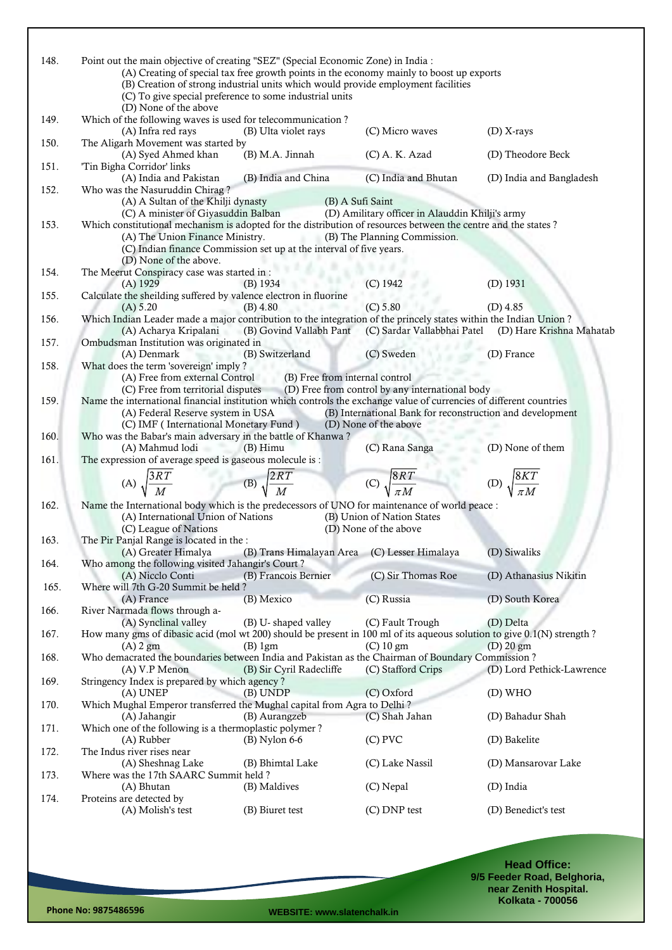| 148.         | Point out the main objective of creating "SEZ" (Special Economic Zone) in India :<br>(C) To give special preference to some industrial units<br>(D) None of the above                                              | (B) Creation of strong industrial units which would provide employment facilities | (A) Creating of special tax free growth points in the economy mainly to boost up exports |                                                                                                    |
|--------------|--------------------------------------------------------------------------------------------------------------------------------------------------------------------------------------------------------------------|-----------------------------------------------------------------------------------|------------------------------------------------------------------------------------------|----------------------------------------------------------------------------------------------------|
| 149.<br>150. | Which of the following waves is used for telecommunication?<br>(A) Infra red rays<br>The Aligarh Movement was started by                                                                                           | (B) Ulta violet rays                                                              | (C) Micro waves                                                                          | $(D)$ X-rays                                                                                       |
|              | (A) Syed Ahmed khan                                                                                                                                                                                                | (B) M.A. Jinnah                                                                   | $(C)$ A. K. Azad                                                                         | (D) Theodore Beck                                                                                  |
| 151.         | 'Tin Bigha Corridor' links<br>(A) India and Pakistan                                                                                                                                                               | (B) India and China                                                               | (C) India and Bhutan                                                                     | (D) India and Bangladesh                                                                           |
| 152.         | Who was the Nasuruddin Chirag?<br>(A) A Sultan of the Khilji dynasty                                                                                                                                               | (B) A Sufi Saint                                                                  |                                                                                          |                                                                                                    |
| 153.         | (C) A minister of Giyasuddin Balban<br>Which constitutional mechanism is adopted for the distribution of resources between the centre and the states?<br>(A) The Union Finance Ministry.<br>(D) None of the above. | (C) Indian finance Commission set up at the interval of five years.               | (D) Amilitary officer in Alauddin Khilji's army<br>(B) The Planning Commission.          |                                                                                                    |
| 154.         | The Meerut Conspiracy case was started in:<br>$(A)$ 1929                                                                                                                                                           | $(B)$ 1934                                                                        | $(C)$ 1942                                                                               | $(D)$ 1931                                                                                         |
| 155.         | Calculate the sheilding suffered by valence electron in fluorine                                                                                                                                                   |                                                                                   | (C) 5.80                                                                                 |                                                                                                    |
| 156.         | (A) 5.20<br>Which Indian Leader made a major contribution to the integration of the princely states within the Indian Union?                                                                                       | $(B)$ 4.80                                                                        |                                                                                          | $(D)$ 4.85                                                                                         |
| 157.         | Ombudsman Institution was originated in                                                                                                                                                                            |                                                                                   |                                                                                          | (A) Acharya Kripalani (B) Govind Vallabh Pant (C) Sardar Vallabbhai Patel (D) Hare Krishna Mahatab |
| 158.         | (A) Denmark<br>What does the term 'sovereign' imply ?                                                                                                                                                              | (B) Switzerland                                                                   | (C) Sweden                                                                               | (D) France                                                                                         |
|              | (A) Free from external Control<br>(C) Free from territorial disputes                                                                                                                                               | (B) Free from internal control                                                    | (D) Free from control by any international body                                          |                                                                                                    |
| 159.         | Name the international financial institution which controls the exchange value of currencies of different countries<br>(A) Federal Reserve system in USA<br>(C) IMF (International Monetary Fund)                  |                                                                                   | (B) International Bank for reconstruction and development<br>(D) None of the above       |                                                                                                    |
| 160.         | Who was the Babar's main adversary in the battle of Khanwa?<br>(A) Mahmud lodi                                                                                                                                     | $(B)$ Himu                                                                        | (C) Rana Sanga                                                                           | (D) None of them                                                                                   |
| 161.         | The expression of average speed is gaseous molecule is :                                                                                                                                                           |                                                                                   |                                                                                          |                                                                                                    |
|              | (A) $\sqrt{\frac{3RT}{M}}$ (B) $\sqrt{\frac{2RT}{M}}$                                                                                                                                                              |                                                                                   | (C) $\sqrt{\frac{8RT}{\pi M}}$ (D) $\sqrt{\frac{8KT}{\pi M}}$                            |                                                                                                    |
| 162.         | Name the International body which is the predecessors of UNO for maintenance of world peace :                                                                                                                      |                                                                                   |                                                                                          |                                                                                                    |
|              | (A) International Union of Nations<br>(C) League of Nations                                                                                                                                                        |                                                                                   | (B) Union of Nation States<br>(D) None of the above                                      |                                                                                                    |
| 163.         | The Pir Panjal Range is located in the :<br>(A) Greater Himalya (B) Trans Himalayan Area (C) Lesser Himalaya                                                                                                       |                                                                                   |                                                                                          | (D) Siwaliks                                                                                       |
| 164.         | Who among the following visited Jahangir's Court?<br>(A) Nicclo Conti                                                                                                                                              | (B) Francois Bernier                                                              | (C) Sir Thomas Roe                                                                       | (D) Athanasius Nikitin                                                                             |
| 165.         | Where will 7th G-20 Summit be held?<br>(A) France                                                                                                                                                                  | (B) Mexico                                                                        | (C) Russia                                                                               | (D) South Korea                                                                                    |
| 166.         | River Narmada flows through a-<br>(A) Synclinal valley                                                                                                                                                             | (B) U-shaped valley                                                               | (C) Fault Trough                                                                         | (D) Delta                                                                                          |
| 167.         | How many gms of dibasic acid (mol wt 200) should be present in 100 ml of its aqueous solution to give 0.1(N) strength?<br>$(A)$ 2 gm                                                                               | $(B)$ 1gm                                                                         | $(C)$ 10 gm                                                                              | $(D)$ 20 gm                                                                                        |
| 168.         | Who demacrated the boundaries between India and Pakistan as the Chairman of Boundary Commission?<br>$(A) V.P$ Menon                                                                                                | (B) Sir Cyril Radecliffe                                                          | (C) Stafford Crips                                                                       | (D) Lord Pethick-Lawrence                                                                          |
| 169.         | Stringency Index is prepared by which agency?<br>(A) UNEP                                                                                                                                                          | (B) UNDP                                                                          | (C) Oxford                                                                               | (D) WHO                                                                                            |
| 170.         | Which Mughal Emperor transferred the Mughal capital from Agra to Delhi?<br>(A) Jahangir                                                                                                                            | (B) Aurangzeb                                                                     | (C) Shah Jahan                                                                           | (D) Bahadur Shah                                                                                   |
| 171.         | Which one of the following is a thermoplastic polymer?<br>(A) Rubber                                                                                                                                               | $(B)$ Nylon 6-6                                                                   | $(C)$ PVC                                                                                | (D) Bakelite                                                                                       |
| 172.         | The Indus river rises near                                                                                                                                                                                         | (B) Bhimtal Lake                                                                  | (C) Lake Nassil                                                                          | (D) Mansarovar Lake                                                                                |
| 173.         | (A) Sheshnag Lake<br>Where was the 17th SAARC Summit held?                                                                                                                                                         |                                                                                   |                                                                                          |                                                                                                    |
| 174.         | (A) Bhutan<br>Proteins are detected by                                                                                                                                                                             | (B) Maldives                                                                      | (C) Nepal                                                                                | (D) India                                                                                          |
|              | (A) Molish's test                                                                                                                                                                                                  | (B) Biuret test                                                                   | (C) DNP test                                                                             | (D) Benedict's test                                                                                |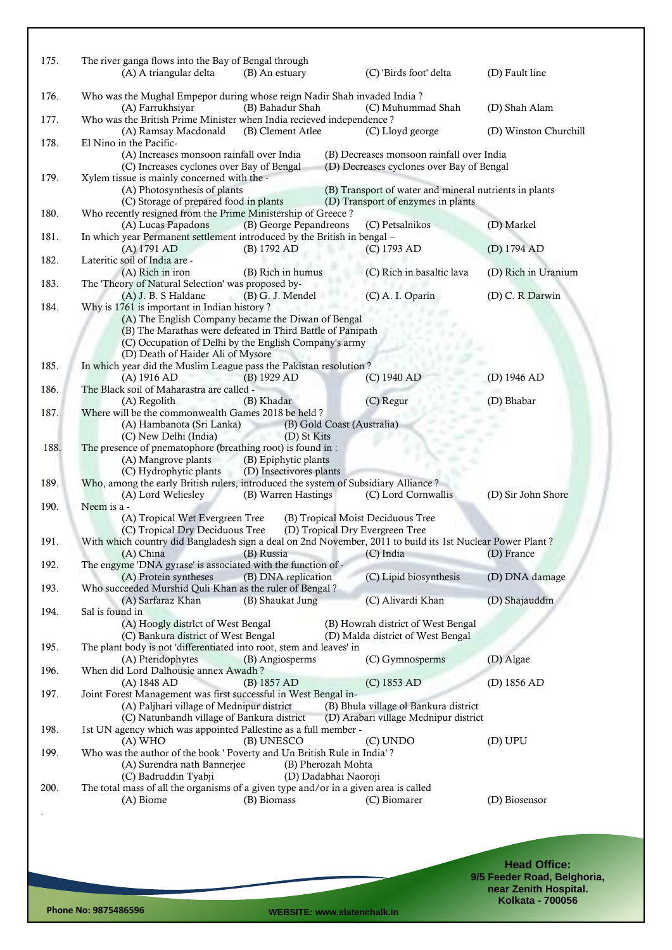| 175. | The river ganga flows into the Bay of Bengal through                                                          |                         |                                                                                        |                       |
|------|---------------------------------------------------------------------------------------------------------------|-------------------------|----------------------------------------------------------------------------------------|-----------------------|
|      | (A) A triangular delta                                                                                        | (B) An estuary          | (C) 'Birds foot' delta                                                                 | (D) Fault line        |
|      |                                                                                                               |                         |                                                                                        |                       |
| 176. | Who was the Mughal Empepor during whose reign Nadir Shah invaded India?<br>(A) Farrukhsiyar                   | (B) Bahadur Shah        | (C) Muhummad Shah                                                                      | (D) Shah Alam         |
| 177. | Who was the British Prime Minister when India recieved independence?                                          |                         |                                                                                        |                       |
|      | (A) Ramsay Macdonald                                                                                          | (B) Clement Atlee       | (C) Lloyd george                                                                       | (D) Winston Churchill |
| 178. | El Nino in the Pacific-                                                                                       |                         |                                                                                        |                       |
|      | (A) Increases monsoon rainfall over India<br>(C) Increases cyclones over Bay of Bengal                        |                         | (B) Decreases monsoon rainfall over India<br>(D) Decreases cyclones over Bay of Bengal |                       |
| 179. | Xylem tissue is mainly concerned with the -                                                                   |                         |                                                                                        |                       |
|      | (A) Photosynthesis of plants                                                                                  |                         | (B) Transport of water and mineral nutrients in plants                                 |                       |
|      | (C) Storage of prepared food in plants                                                                        |                         | (D) Transport of enzymes in plants                                                     |                       |
| 180. | Who recently resigned from the Prime Ministership of Greece?<br>(A) Lucas Papadons                            | (B) George Pepandreons  | (C) Petsalnikos                                                                        | (D) Markel            |
| 181. | In which year Permanent settlement introduced by the British in bengal -                                      |                         |                                                                                        |                       |
|      | (A) 1791 AD                                                                                                   | (B) 1792 AD             | (C) 1793 AD                                                                            | (D) 1794 AD           |
| 182. | Lateritic soil of India are -                                                                                 |                         |                                                                                        |                       |
|      | (A) Rich in iron                                                                                              | (B) Rich in humus       | (C) Rich in basaltic lava                                                              | (D) Rich in Uranium   |
| 183. | The 'Theory of Natural Selection' was proposed by-                                                            |                         | (C) A. I. Oparin                                                                       | (D) C. R Darwin       |
| 184. | (A) J. B. S Haldane<br>Why is 1761 is important in Indian history?                                            | (B) G. J. Mendel        |                                                                                        |                       |
|      | (A) The English Company became the Diwan of Bengal                                                            |                         |                                                                                        |                       |
|      | (B) The Marathas were defeated in Third Battle of Panipath                                                    |                         |                                                                                        |                       |
|      | (C) Occupation of Delhi by the English Company's army                                                         |                         |                                                                                        |                       |
| 185. | (D) Death of Haider Ali of Mysore                                                                             |                         |                                                                                        |                       |
|      | In which year did the Muslim League pass the Pakistan resolution?<br>(A) 1916 AD                              | $(B)$ 1929 AD           | (C) 1940 AD                                                                            | (D) 1946 AD           |
| 186. | The Black soil of Maharastra are called -                                                                     |                         |                                                                                        |                       |
|      | (A) Regolith                                                                                                  | (B) Khadar              | (C) Regur                                                                              | (D) Bhabar            |
| 187. | Where will be the commonwealth Games 2018 be held?                                                            |                         |                                                                                        |                       |
|      | (A) Hambanota (Sri Lanka)                                                                                     |                         | (B) Gold Coast (Australia)                                                             |                       |
| 188. | (C) New Delhi (India)<br>The presence of pnematophore (breathing root) is found in :                          | (D) St Kits             |                                                                                        |                       |
|      | (A) Mangrove plants                                                                                           | (B) Epiphytic plants    |                                                                                        |                       |
|      | (C) Hydrophytic plants                                                                                        | (D) Insectivores plants |                                                                                        |                       |
| 189. | Who, among the early British rulers, introduced the system of Subsidiary Alliance?                            |                         |                                                                                        |                       |
|      | (A) Lord Weliesley                                                                                            | (B) Warren Hastings     | (C) Lord Cornwallis                                                                    | (D) Sir John Shore    |
| 190. | Neem is a -<br>(A) Tropical Wet Evergreen Tree                                                                |                         | (B) Tropical Moist Deciduous Tree                                                      |                       |
|      | (C) Tropical Dry Deciduous Tree                                                                               |                         | (D) Tropical Dry Evergreen Tree                                                        |                       |
| 191. | With which country did Bangladesh sign a deal on 2nd November, 2011 to build its 1st Nuclear Power Plant?     |                         |                                                                                        |                       |
|      |                                                                                                               |                         | (A) China (B) Russia (C) India (D) France                                              |                       |
| 192. | The engyme 'DNA gyrase' is associated with the function of -                                                  |                         |                                                                                        |                       |
| 193. | (A) Protein syntheses<br>Who succeeded Murshid Quli Khan as the ruler of Bengal?                              | (B) DNA replication     | (C) Lipid biosynthesis                                                                 | (D) DNA damage        |
|      | (A) Sarfaraz Khan                                                                                             | (B) Shaukat Jung        | (C) Alivardi Khan                                                                      | (D) Shajauddin        |
| 194. | Sal is found in                                                                                               |                         |                                                                                        |                       |
|      | (A) Hoogly distrlct of West Bengal                                                                            |                         | (B) Howrah district of West Bengal                                                     |                       |
|      | (C) Bankura district of West Bengal                                                                           |                         | (D) Malda district of West Bengal                                                      |                       |
| 195. | The plant body is not 'differentiated into root, stem and leaves' in<br>(A) Pteridophytes                     | (B) Angiosperms         | (C) Gymnosperms                                                                        | (D) Algae             |
| 196. | When did Lord Dalhousie annex Awadh?                                                                          |                         |                                                                                        |                       |
|      | (A) 1848 AD                                                                                                   | (B) 1857 AD             | (C) 1853 AD                                                                            | (D) $1856$ AD         |
| 197. | Joint Forest Management was first successful in West Bengal in-                                               |                         |                                                                                        |                       |
|      | (A) Paljhari village of Mednipur district                                                                     |                         | (B) Bhula village ol Bankura district                                                  |                       |
| 198. | (C) Natunbandh village of Bankura district<br>1st UN agency which was appointed Pallestine as a full member - |                         | (D) Arabari village Mednipur district                                                  |                       |
|      | $(A)$ WHO                                                                                                     | (B) UNESCO              | (C) UNDO                                                                               | (D) UPU               |
| 199. | Who was the author of the book ' Poverty and Un British Rule in India'?                                       |                         |                                                                                        |                       |
|      | (A) Surendra nath Bannerjee                                                                                   | (B) Pherozah Mohta      |                                                                                        |                       |
|      | (C) Badruddin Tyabji                                                                                          |                         | (D) Dadabhai Naoroji                                                                   |                       |
| 200. | The total mass of all the organisms of a given type and/or in a given area is called<br>(A) Biome             | (B) Biomass             | (C) Biomarer                                                                           | (D) Biosensor         |
|      |                                                                                                               |                         |                                                                                        |                       |
|      |                                                                                                               |                         |                                                                                        |                       |
|      |                                                                                                               |                         |                                                                                        |                       |
|      |                                                                                                               |                         |                                                                                        |                       |
|      |                                                                                                               |                         |                                                                                        |                       |